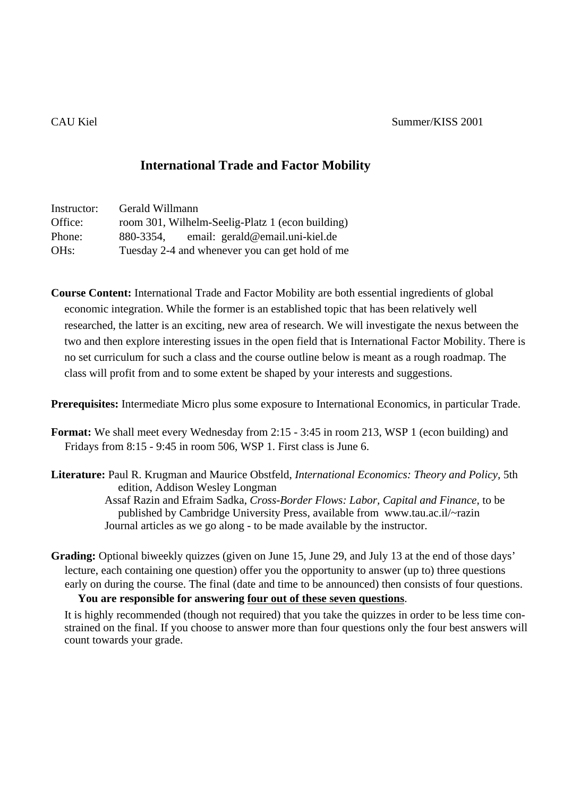## **International Trade and Factor Mobility**

| Instructor:       | Gerald Willmann                                  |
|-------------------|--------------------------------------------------|
| Office:           | room 301, Wilhelm-Seelig-Platz 1 (econ building) |
| Phone:            | email: gerald@email.uni-kiel.de<br>880-3354,     |
| OH <sub>s</sub> : | Tuesday 2-4 and whenever you can get hold of me  |

**Course Content:** International Trade and Factor Mobility are both essential ingredients of global economic integration. While the former is an established topic that has been relatively well researched, the latter is an exciting, new area of research. We will investigate the nexus between the two and then explore interesting issues in the open field that is International Factor Mobility. There is no set curriculum for such a class and the course outline below is meant as a rough roadmap. The class will profit from and to some extent be shaped by your interests and suggestions.

**Prerequisites:** Intermediate Micro plus some exposure to International Economics, in particular Trade.

- **Format:** We shall meet every Wednesday from 2:15 3:45 in room 213, WSP 1 (econ building) and Fridays from 8:15 - 9:45 in room 506, WSP 1. First class is June 6.
- **Literature:** Paul R. Krugman and Maurice Obstfeld, *International Economics: Theory and Policy,* 5th edition, Addison Wesley Longman Assaf Razin and Efraim Sadka, *Cross-Border Flows: Labor, Capital and Finance*, to be published by Cambridge University Press, available from www.tau.ac.il/~razin Journal articles as we go along - to be made available by the instructor.
- **Grading:** Optional biweekly quizzes (given on June 15, June 29, and July 13 at the end of those days' lecture, each containing one question) offer you the opportunity to answer (up to) three questions early on during the course. The final (date and time to be announced) then consists of four questions. **You are responsible for answering four out of these seven questions**.

It is highly recommended (though not required) that you take the quizzes in order to be less time constrained on the final. If you choose to answer more than four questions only the four best answers will count towards your grade.